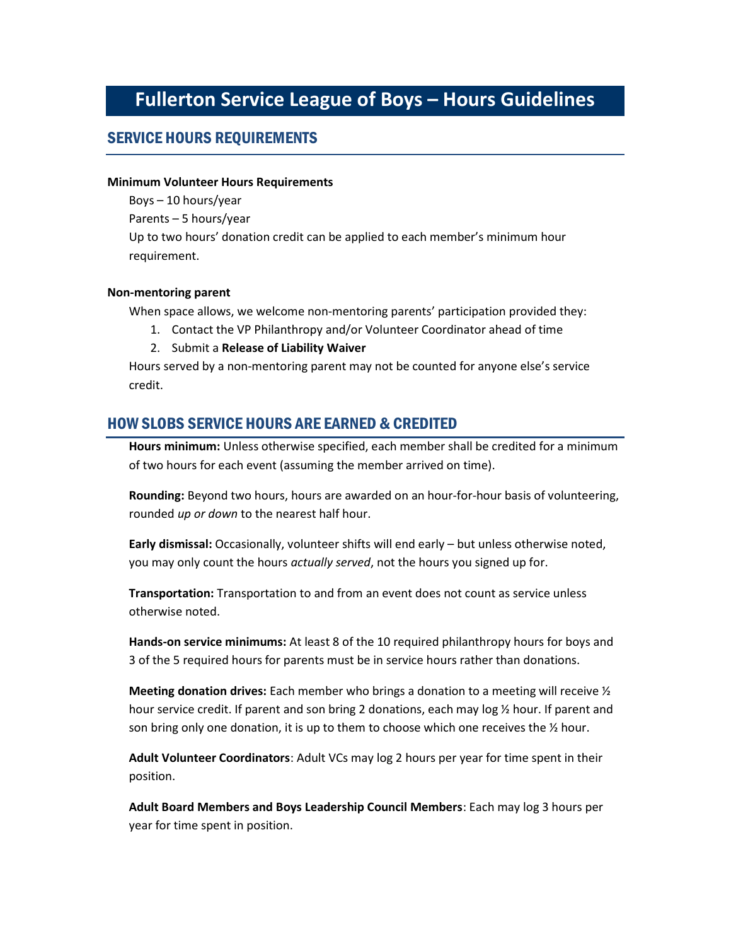# Fullerton Service League of Boys – Hours Guidelines

#### SERVICE HOURS REQUIREMENTS

#### Minimum Volunteer Hours Requirements

Boys – 10 hours/year

Parents – 5 hours/year

Up to two hours' donation credit can be applied to each member's minimum hour requirement.

#### Non-mentoring parent

When space allows, we welcome non-mentoring parents' participation provided they:

- 1. Contact the VP Philanthropy and/or Volunteer Coordinator ahead of time
- 2. Submit a Release of Liability Waiver

Hours served by a non-mentoring parent may not be counted for anyone else's service credit.

#### HOW SLOBS SERVICE HOURS ARE EARNED & CREDITED

Hours minimum: Unless otherwise specified, each member shall be credited for a minimum of two hours for each event (assuming the member arrived on time).

Rounding: Beyond two hours, hours are awarded on an hour-for-hour basis of volunteering, rounded up or down to the nearest half hour.

Early dismissal: Occasionally, volunteer shifts will end early – but unless otherwise noted, you may only count the hours *actually served*, not the hours you signed up for.

Transportation: Transportation to and from an event does not count as service unless otherwise noted.

Hands-on service minimums: At least 8 of the 10 required philanthropy hours for boys and 3 of the 5 required hours for parents must be in service hours rather than donations.

**Meeting donation drives:** Each member who brings a donation to a meeting will receive  $\frac{1}{2}$ hour service credit. If parent and son bring 2 donations, each may log ½ hour. If parent and son bring only one donation, it is up to them to choose which one receives the  $\frac{1}{2}$  hour.

Adult Volunteer Coordinators: Adult VCs may log 2 hours per year for time spent in their position.

Adult Board Members and Boys Leadership Council Members: Each may log 3 hours per year for time spent in position.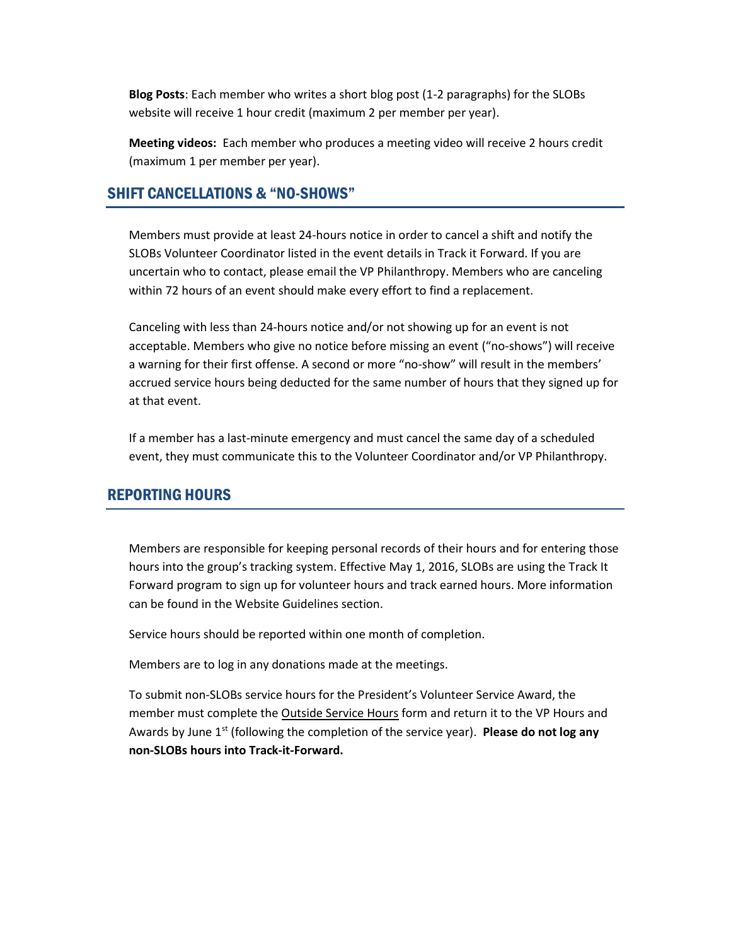Blog Posts: Each member who writes a short blog post (1-2 paragraphs) for the SLOBs website will receive 1 hour credit (maximum 2 per member per year).

Meeting videos: Each member who produces a meeting video will receive 2 hours credit (maximum 1 per member per year).

#### SHIFT CANCELLATIONS & "NO-SHOWS"

Members must provide at least 24-hours notice in order to cancel a shift and notify the SLOBs Volunteer Coordinator listed in the event details in Track it Forward. If you are uncertain who to contact, please email the VP Philanthropy. Members who are canceling within 72 hours of an event should make every effort to find a replacement.

Canceling with less than 24-hours notice and/or not showing up for an event is not acceptable. Members who give no notice before missing an event ("no-shows") will receive a warning for their first offense. A second or more "no-show" will result in the members' accrued service hours being deducted for the same number of hours that they signed up for at that event.

If a member has a last-minute emergency and must cancel the same day of a scheduled event, they must communicate this to the Volunteer Coordinator and/or VP Philanthropy.

#### REPORTING HOURS

Members are responsible for keeping personal records of their hours and for entering those hours into the group's tracking system. Effective May 1, 2016, SLOBs are using the Track It Forward program to sign up for volunteer hours and track earned hours. More information can be found in the Website Guidelines section.

Service hours should be reported within one month of completion.

Members are to log in any donations made at the meetings.

To submit non-SLOBs service hours for the President's Volunteer Service Award, the member must complete the Outside Service Hours form and return it to the VP Hours and Awards by June  $1^{st}$  (following the completion of the service year). Please do not log any non-SLOBs hours into Track-it-Forward.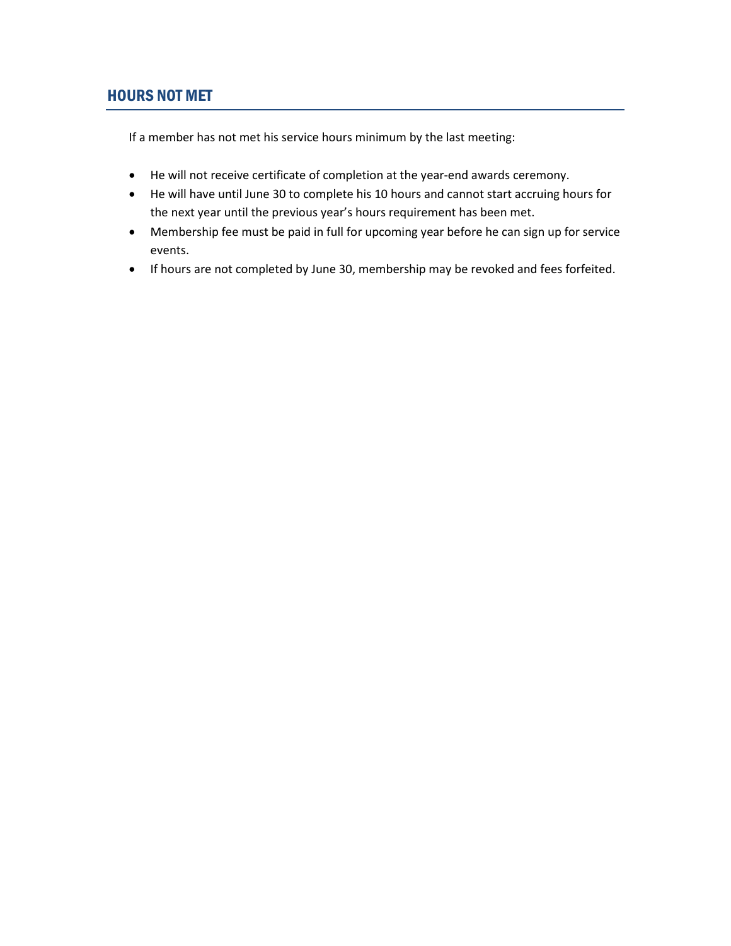#### HOURS NOT MET

If a member has not met his service hours minimum by the last meeting:

- He will not receive certificate of completion at the year-end awards ceremony.
- He will have until June 30 to complete his 10 hours and cannot start accruing hours for the next year until the previous year's hours requirement has been met.
- Membership fee must be paid in full for upcoming year before he can sign up for service events.
- If hours are not completed by June 30, membership may be revoked and fees forfeited.